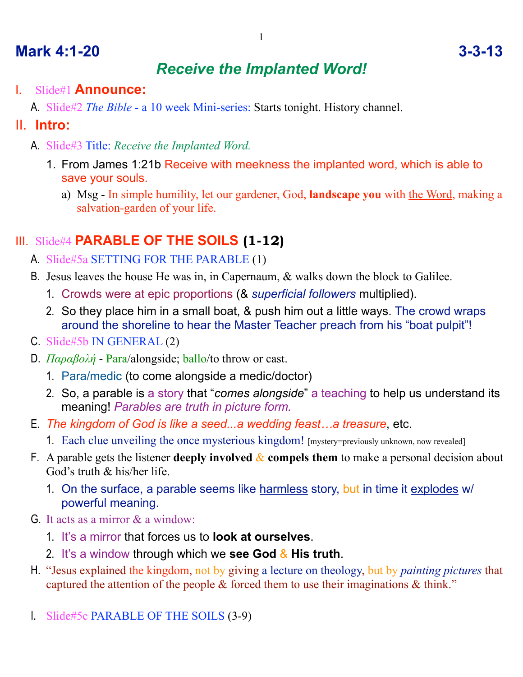# **Mark 4:1-20 3-3-13**

# *Receive the Implanted Word!*

I. Slide#1 **Announce:**

A. Slide#2 *The Bible* - a 10 week Mini-series: Starts tonight. History channel.

- II. **Intro:**
	- A. Slide#3 Title: *Receive the Implanted Word.*
		- 1. From James 1:21b Receive with meekness the implanted word, which is able to save your souls.
			- a) Msg In simple humility, let our gardener, God, **landscape you** with the Word, making a salvation-garden of your life.

### III. Slide#4 **PARABLE OF THE SOILS (1-12)**

- A. Slide#5a SETTING FOR THE PARABLE (1)
- B. Jesus leaves the house He was in, in Capernaum, & walks down the block to Galilee.
	- 1. Crowds were at epic proportions (& *superficial followers* multiplied).
	- 2. So they place him in a small boat, & push him out a little ways. The crowd wraps around the shoreline to hear the Master Teacher preach from his "boat pulpit"!
- C. Slide#5b IN GENERAL (2)
- D. *Παραβολή* Para/alongside; ballo/to throw or cast.
	- 1. Para/medic (to come alongside a medic/doctor)
	- 2. So, a parable is a story that "*comes alongside*" a teaching to help us understand its meaning! *Parables are truth in picture form.*
- E. *The kingdom of God is like a seed...a wedding feast…a treasure*, etc.
	- 1. Each clue unveiling the once mysterious kingdom! [mystery=previously unknown, now revealed]
- F. A parable gets the listener **deeply involved** & **compels them** to make a personal decision about God's truth  $\&$  his/her life.
	- 1. On the surface, a parable seems like harmless story, but in time it explodes w/ powerful meaning.
- G. It acts as a mirror & a window:
	- 1. It's a mirror that forces us to **look at ourselves**.
	- 2. It's a window through which we **see God** & **His truth**.
- H. "Jesus explained the kingdom, not by giving a lecture on theology, but by *painting pictures* that captured the attention of the people  $\&$  forced them to use their imaginations  $\&$  think."
- I. Slide#5c PARABLE OF THE SOILS (3-9)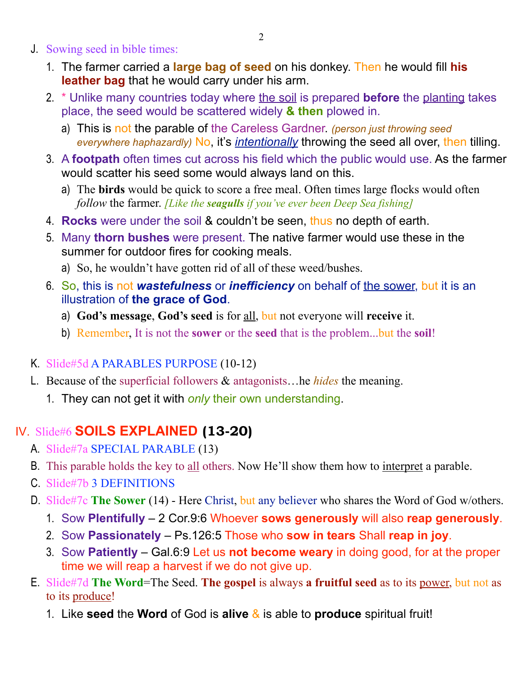2

- J. Sowing seed in bible times:
	- 1. The farmer carried a **large bag of seed** on his donkey. Then he would fill **his leather bag** that he would carry under his arm.
	- 2. \* Unlike many countries today where the soil is prepared **before** the planting takes place, the seed would be scattered widely **& then** plowed in.
		- a) This is not the parable of the Careless Gardner. *(person just throwing seed everywhere haphazardly)* No, it's *intentionally* throwing the seed all over, then tilling.
	- 3. A **footpath** often times cut across his field which the public would use. As the farmer would scatter his seed some would always land on this.
		- a) The **birds** would be quick to score a free meal. Often times large flocks would often *follow* the farmer. *[Like the seagulls if you've ever been Deep Sea fishing]*
	- 4. **Rocks** were under the soil & couldn't be seen, thus no depth of earth.
	- 5. Many **thorn bushes** were present. The native farmer would use these in the summer for outdoor fires for cooking meals.
		- a) So, he wouldn't have gotten rid of all of these weed/bushes.
	- 6. So, this is not *wastefulness* or *inefficiency* on behalf of the sower, but it is an illustration of **the grace of God**.
		- a) **God's message**, **God's seed** is for all, but not everyone will **receive** it.
		- b) Remember, It is not the **sower** or the **seed** that is the problem...but the **soil**!
- K. Slide#5d A PARABLES PURPOSE (10-12)
- L. Because of the superficial followers & antagonists…he *hides* the meaning.
	- 1. They can not get it with *only* their own understanding.

### IV. Slide#6 **SOILS EXPLAINED (13-20)**

- A. Slide#7a SPECIAL PARABLE (13)
- B. This parable holds the key to all others. Now He'll show them how to interpret a parable.
- C. Slide#7b 3 DEFINITIONS
- D. Slide#7c **The Sower** (14) Here Christ, but any believer who shares the Word of God w/others.
	- 1. Sow **Plentifully** 2 Cor.9:6 Whoever **sows generously** will also **reap generously**.
	- 2. Sow **Passionately** Ps.126:5 Those who **sow in tears** Shall **reap in joy**.
	- 3. Sow **Patiently** Gal.6:9 Let us **not become weary** in doing good, for at the proper time we will reap a harvest if we do not give up.
- E. Slide#7d **The Word**=The Seed. **The gospel** is always **a fruitful seed** as to its power, but not as to its produce!
	- 1. Like **seed** the **Word** of God is **alive** & is able to **produce** spiritual fruit!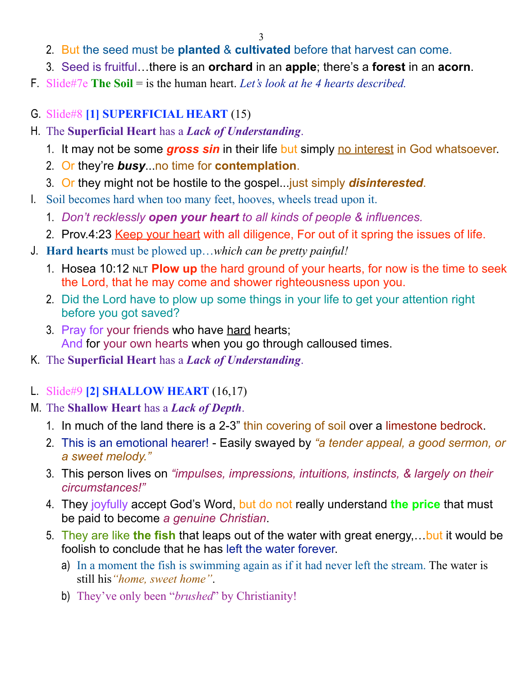- 2. But the seed must be **planted** & **cultivated** before that harvest can come.
- 3. Seed is fruitful…there is an **orchard** in an **apple**; there's a **forest** in an **acorn**.
- F. Slide#7e **The Soil** = is the human heart. *Let's look at he 4 hearts described.*
- G. Slide#8 **[1] SUPERFICIAL HEART** (15)
- H. The **Superficial Heart** has a *Lack of Understanding*.
	- 1. It may not be some *gross sin* in their life but simply no interest in God whatsoever.
	- 2. Or they're *busy*...no time for **contemplation**.
	- 3. Or they might not be hostile to the gospel...just simply *disinterested*.
- I. Soil becomes hard when too many feet, hooves, wheels tread upon it.
	- 1. *Don't recklessly open your heart to all kinds of people & influences.*
	- 2. Prov.4:23 Keep your heart with all diligence, For out of it spring the issues of life.
- J. **Hard hearts** must be plowed up…*which can be pretty painful!*
	- 1. Hosea 10:12 NLT **Plow up** the hard ground of your hearts, for now is the time to seek the Lord, that he may come and shower righteousness upon you.
	- 2. Did the Lord have to plow up some things in your life to get your attention right before you got saved?
	- 3. Pray for your friends who have hard hearts; And for your own hearts when you go through calloused times.
- K. The **Superficial Heart** has a *Lack of Understanding*.
- L. Slide#9 **[2] SHALLOW HEART** (16,17)
- M. The **Shallow Heart** has a *Lack of Depth*.
	- 1. In much of the land there is a 2-3" thin covering of soil over a limestone bedrock.
	- 2. This is an emotional hearer! Easily swayed by *"a tender appeal, a good sermon, or a sweet melody."*
	- 3. This person lives on *"impulses, impressions, intuitions, instincts, & largely on their circumstances!"*
	- 4. They joyfully accept God's Word, but do not really understand **the price** that must be paid to become *a genuine Christian*.
	- 5. They are like **the fish** that leaps out of the water with great energy,…but it would be foolish to conclude that he has left the water forever.
		- a) In a moment the fish is swimming again as if it had never left the stream. The water is still his*"home, sweet home"*.
		- b) They've only been "*brushed*" by Christianity!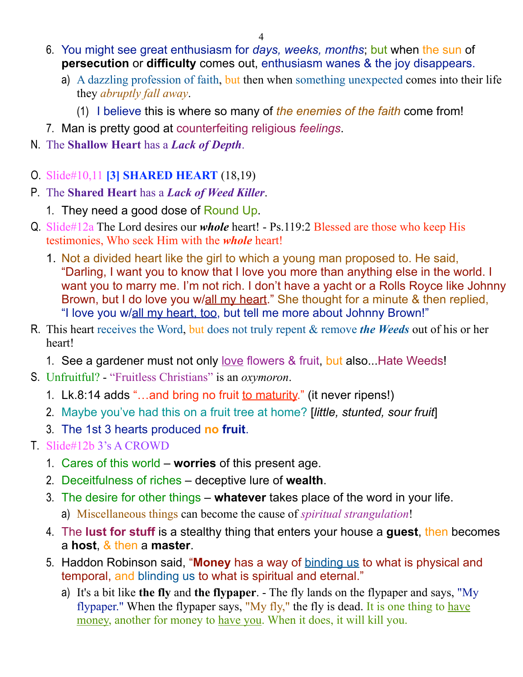- 6. You might see great enthusiasm for *days, weeks, months*; but when the sun of **persecution** or **difficulty** comes out, enthusiasm wanes & the joy disappears.
	- a) A dazzling profession of faith, but then when something unexpected comes into their life they *abruptly fall away*.
		- (1) I believe this is where so many of *the enemies of the faith* come from!
- 7. Man is pretty good at counterfeiting religious *feelings*.
- N. The **Shallow Heart** has a *Lack of Depth*.
- O. Slide#10,11 **[3] SHARED HEART** (18,19)
- P. The **Shared Heart** has a *Lack of Weed Killer*.
	- 1. They need a good dose of Round Up.
- Q. Slide#12a The Lord desires our *whole* heart! Ps.119:2 Blessed are those who keep His testimonies, Who seek Him with the *whole* heart!
	- 1. Not a divided heart like the girl to which a young man proposed to. He said, "Darling, I want you to know that I love you more than anything else in the world. I want you to marry me. I'm not rich. I don't have a yacht or a Rolls Royce like Johnny Brown, but I do love you w/all my heart." She thought for a minute & then replied, "I love you w/all my heart, too, but tell me more about Johnny Brown!"
- R. This heart receives the Word, but does not truly repent & remove *the Weeds* out of his or her heart!
	- 1. See a gardener must not only love flowers & fruit, but also... Hate Weeds!
- S. Unfruitful? "Fruitless Christians" is an *oxymoron*.
	- 1. Lk.8:14 adds "...and bring no fruit to maturity." (it never ripens!)
	- 2. Maybe you've had this on a fruit tree at home? [*little, stunted, sour fruit*]
	- 3. The 1st 3 hearts produced **no fruit**.
- T. Slide#12b 3's A CROWD
	- 1. Cares of this world **worries** of this present age.
	- 2. Deceitfulness of riches deceptive lure of **wealth**.
	- 3. The desire for other things **whatever** takes place of the word in your life.
		- a) Miscellaneous things can become the cause of *spiritual strangulation*!
	- 4. The **lust for stuff** is a stealthy thing that enters your house a **guest**, then becomes a **host**, & then a **master**.
	- 5. Haddon Robinson said, "**Money** has a way of binding us to what is physical and temporal, and blinding us to what is spiritual and eternal."
		- a) It's a bit like **the fly** and **the flypaper**. The fly lands on the flypaper and says, "My flypaper." When the flypaper says, "My fly," the fly is dead. It is one thing to have money, another for money to have you. When it does, it will kill you.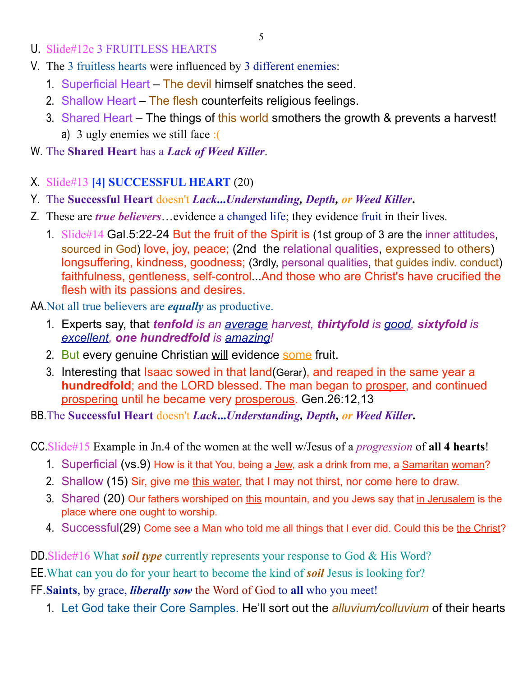- U. Slide#12c 3 FRUITLESS HEARTS
- V. The 3 fruitless hearts were influenced by 3 different enemies:
	- 1. Superficial Heart The devil himself snatches the seed.
	- 2. Shallow Heart The flesh counterfeits religious feelings.
	- 3. Shared Heart The things of this world smothers the growth & prevents a harvest! a) 3 ugly enemies we still face:
- W. The **Shared Heart** has a *Lack of Weed Killer*.
- X. Slide#13 **[4] SUCCESSFUL HEART** (20)
- Y. The **Successful Heart** doesn't *Lack***...***Understanding, Depth, or Weed Killer***.**
- Z. These are *true believers*…evidence a changed life; they evidence fruit in their lives.
	- 1. Slide#14 Gal.5:22-24 But the fruit of the Spirit is (1st group of 3 are the inner attitudes, sourced in God) love, joy, peace; (2nd the relational qualities, expressed to others) longsuffering, kindness, goodness; (3rdly, personal qualities, that guides indiv. conduct) faithfulness, gentleness, self-control. And those who are Christ's have crucified the flesh with its passions and desires.

AA.Not all true believers are *equally* as productive.

- 1. Experts say, that *tenfold is an average harvest, thirtyfold is good, sixtyfold is excellent, one hundredfold is amazing!*
- 2. But every genuine Christian will evidence some fruit.
- 3. Interesting that Isaac sowed in that land(Gerar), and reaped in the same year a **hundredfold**; and the LORD blessed. The man began to prosper, and continued prospering until he became very prosperous. Gen.26:12,13

BB.The **Successful Heart** doesn't *Lack***...***Understanding, Depth, or Weed Killer***.**

CC.Slide#15 Example in Jn.4 of the women at the well w/Jesus of a *progression* of **all 4 hearts**!

- 1. Superficial (vs.9) How is it that You, being a <u>Jew</u>, ask a drink from me, a Samaritan woman?
- 2. Shallow (15) Sir, give me this water, that I may not thirst, nor come here to draw.
- 3. Shared (20) Our fathers worshiped on this mountain, and you Jews say that in Jerusalem is the place where one ought to worship.
- 4. Successful(29) Come see a Man who told me all things that I ever did. Could this be the Christ?

DD.Slide#16 What *soil type* currently represents your response to God & His Word?

EE.What can you do for your heart to become the kind of *soil* Jesus is looking for?

FF.**Saints**, by grace, *liberally sow* the Word of God to **all** who you meet!

1. Let God take their Core Samples. He'll sort out the *alluvium/colluvium* of their hearts